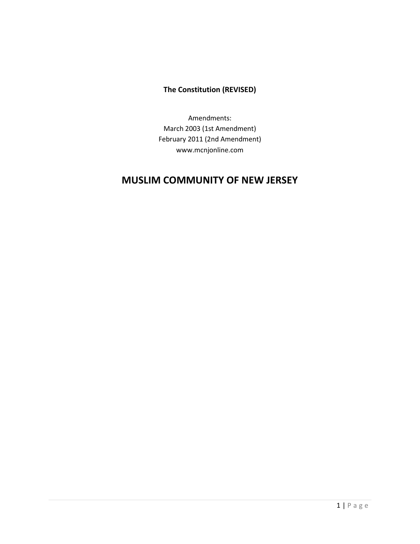# **The Constitution (REVISED)**

Amendments: March 2003 (1st Amendment) February 2011 (2nd Amendment) www.mcnjonline.com

# **MUSLIM COMMUNITY OF NEW JERSEY**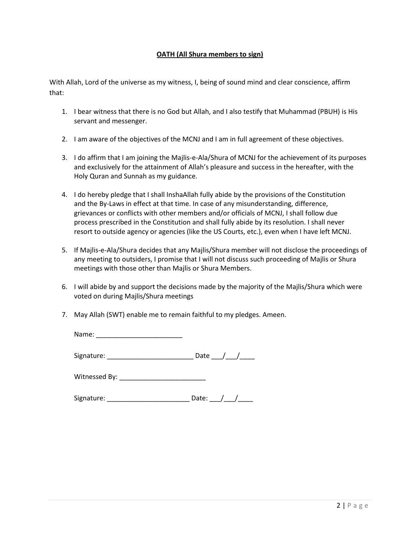# **OATH (All Shura members to sign)**

With Allah, Lord of the universe as my witness, I, being of sound mind and clear conscience, affirm that:

- 1. I bear witness that there is no God but Allah, and I also testify that Muhammad (PBUH) is His servant and messenger.
- 2. I am aware of the objectives of the MCNJ and I am in full agreement of these objectives.
- 3. I do affirm that I am joining the Majlis-e-Ala/Shura of MCNJ for the achievement of its purposes and exclusively for the attainment of Allah's pleasure and success in the hereafter, with the Holy Quran and Sunnah as my guidance.
- 4. I do hereby pledge that I shall InshaAllah fully abide by the provisions of the Constitution and the By-Laws in effect at that time. In case of any misunderstanding, difference, grievances or conflicts with other members and/or officials of MCNJ, I shall follow due process prescribed in the Constitution and shall fully abide by its resolution. I shall never resort to outside agency or agencies (like the US Courts, etc.), even when I have left MCNJ.
- 5. If Majlis-e-Ala/Shura decides that any Majlis/Shura member will not disclose the proceedings of any meeting to outsiders, I promise that I will not discuss such proceeding of Majlis or Shura meetings with those other than Majlis or Shura Members.
- 6. I will abide by and support the decisions made by the majority of the Majlis/Shura which were voted on during Majlis/Shura meetings
- 7. May Allah (SWT) enable me to remain faithful to my pledges. Ameen.

Name: \_\_\_\_\_\_\_\_\_\_\_\_\_\_\_\_\_\_\_\_\_\_\_

Signature: \_\_\_\_\_\_\_\_\_\_\_\_\_\_\_\_\_\_\_\_\_\_\_ Date \_\_\_/\_\_\_/\_\_\_\_

Witnessed By:

| Signature: |  |  |  |
|------------|--|--|--|
|            |  |  |  |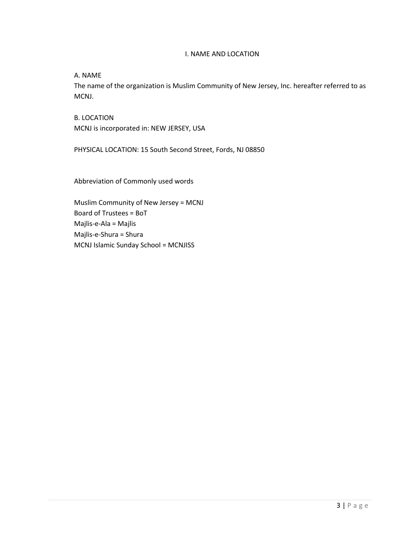### I. NAME AND LOCATION

A. NAME

The name of the organization is Muslim Community of New Jersey, Inc. hereafter referred to as MCNJ.

B. LOCATION MCNJ is incorporated in: NEW JERSEY, USA

PHYSICAL LOCATION: 15 South Second Street, Fords, NJ 08850

Abbreviation of Commonly used words

Muslim Community of New Jersey = MCNJ Board of Trustees = BoT Majlis-e-Ala = Majlis Majlis-e-Shura = Shura MCNJ Islamic Sunday School = MCNJISS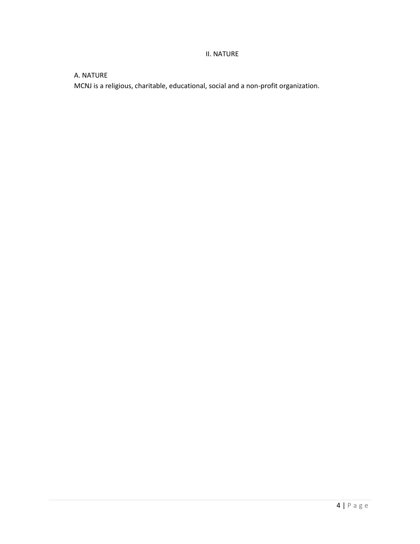# II. NATURE

# A. NATURE

MCNJ is a religious, charitable, educational, social and a non-profit organization.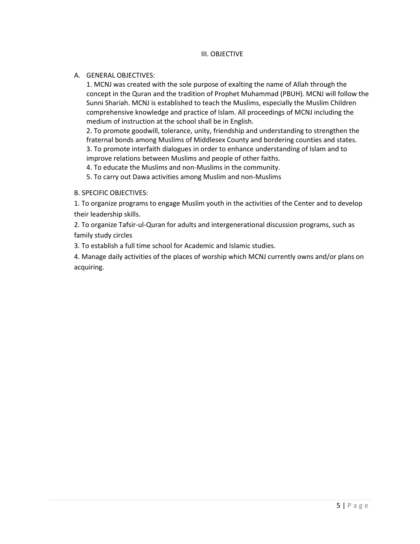### III. OBJECTIVE

### A. GENERAL OBJECTIVES:

1. MCNJ was created with the sole purpose of exalting the name of Allah through the concept in the Quran and the tradition of Prophet Muhammad (PBUH). MCNJ will follow the Sunni Shariah. MCNJ is established to teach the Muslims, especially the Muslim Children comprehensive knowledge and practice of Islam. All proceedings of MCNJ including the medium of instruction at the school shall be in English.

2. To promote goodwill, tolerance, unity, friendship and understanding to strengthen the fraternal bonds among Muslims of Middlesex County and bordering counties and states. 3. To promote interfaith dialogues in order to enhance understanding of Islam and to improve relations between Muslims and people of other faiths.

4. To educate the Muslims and non-Muslims in the community.

5. To carry out Dawa activities among Muslim and non-Muslims

### B. SPECIFIC OBJECTIVES:

1. To organize programs to engage Muslim youth in the activities of the Center and to develop their leadership skills.

2. To organize Tafsir-ul-Quran for adults and intergenerational discussion programs, such as family study circles

3. To establish a full time school for Academic and Islamic studies.

4. Manage daily activities of the places of worship which MCNJ currently owns and/or plans on acquiring.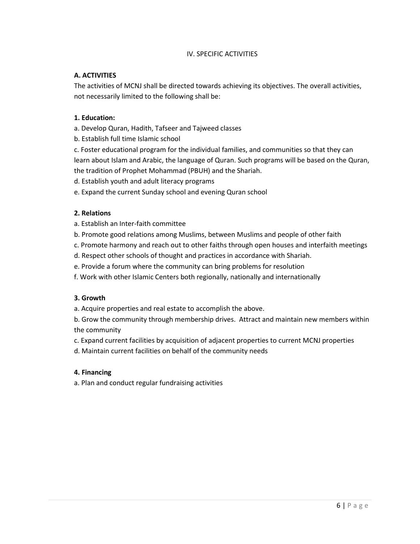# IV. SPECIFIC ACTIVITIES

# **A. ACTIVITIES**

The activities of MCNJ shall be directed towards achieving its objectives. The overall activities, not necessarily limited to the following shall be:

# **1. Education:**

- a. Develop Quran, Hadith, Tafseer and Tajweed classes
- b. Establish full time Islamic school

c. Foster educational program for the individual families, and communities so that they can learn about Islam and Arabic, the language of Quran. Such programs will be based on the Quran, the tradition of Prophet Mohammad (PBUH) and the Shariah.

d. Establish youth and adult literacy programs

e. Expand the current Sunday school and evening Quran school

# **2. Relations**

- a. Establish an Inter-faith committee
- b. Promote good relations among Muslims, between Muslims and people of other faith
- c. Promote harmony and reach out to other faiths through open houses and interfaith meetings
- d. Respect other schools of thought and practices in accordance with Shariah.
- e. Provide a forum where the community can bring problems for resolution
- f. Work with other Islamic Centers both regionally, nationally and internationally

# **3. Growth**

a. Acquire properties and real estate to accomplish the above.

b. Grow the community through membership drives. Attract and maintain new members within the community

- c. Expand current facilities by acquisition of adjacent properties to current MCNJ properties
- d. Maintain current facilities on behalf of the community needs

# **4. Financing**

a. Plan and conduct regular fundraising activities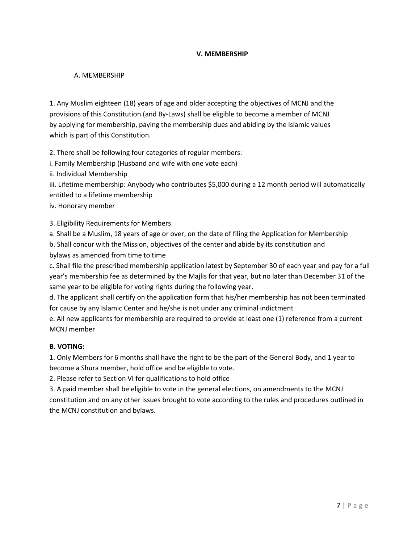# **V. MEMBERSHIP**

# A. MEMBERSHIP

1. Any Muslim eighteen (18) years of age and older accepting the objectives of MCNJ and the provisions of this Constitution (and By-Laws) shall be eligible to become a member of MCNJ by applying for membership, paying the membership dues and abiding by the Islamic values which is part of this Constitution.

2. There shall be following four categories of regular members:

i. Family Membership (Husband and wife with one vote each)

ii. Individual Membership

iii. Lifetime membership: Anybody who contributes \$5,000 during a 12 month period will automatically entitled to a lifetime membership

iv. Honorary member

3. Eligibility Requirements for Members

a. Shall be a Muslim, 18 years of age or over, on the date of filing the Application for Membership

b. Shall concur with the Mission, objectives of the center and abide by its constitution and bylaws as amended from time to time

c. Shall file the prescribed membership application latest by September 30 of each year and pay for a full year's membership fee as determined by the Majlis for that year, but no later than December 31 of the same year to be eligible for voting rights during the following year.

d. The applicant shall certify on the application form that his/her membership has not been terminated for cause by any Islamic Center and he/she is not under any criminal indictment

e. All new applicants for membership are required to provide at least one (1) reference from a current MCNJ member

### **B. VOTING:**

1. Only Members for 6 months shall have the right to be the part of the General Body, and 1 year to become a Shura member, hold office and be eligible to vote.

2. Please refer to Section VI for qualifications to hold office

3. A paid member shall be eligible to vote in the general elections, on amendments to the MCNJ constitution and on any other issues brought to vote according to the rules and procedures outlined in the MCNJ constitution and bylaws.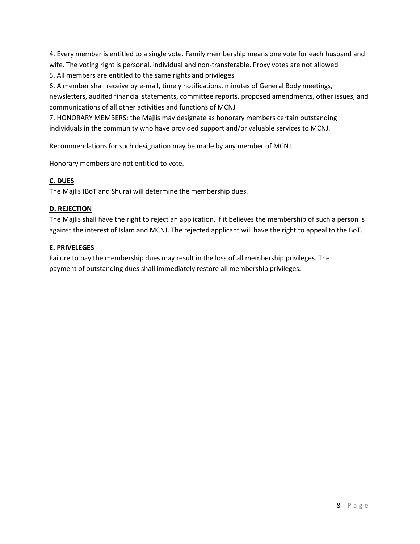4. Every member is entitled to a single vote. Family membership means one vote for each husband and wife. The voting right is personal, individual and non-transferable. Proxy votes are not allowed

5. All members are entitled to the same rights and privileges

6. A member shall receive by e-mail, timely notifications, minutes of General Body meetings, newsletters, audited financial statements, committee reports, proposed amendments, other issues, and communications of all other activities and functions of MCNJ

7. HONORARY MEMBERS: the Majlis may designate as honorary members certain outstanding individuals in the community who have provided support and/or valuable services to MCNJ.

Recommendations for such designation may be made by any member of MCNJ.

Honorary members are not entitled to vote.

# **C. DUES**

The Majlis (BoT and Shura) will determine the membership dues.

# **D. REJECTION**

The Majlis shall have the right to reject an application, if it believes the membership of such a person is against the interest of Islam and MCNJ. The rejected applicant will have the right to appeal to the BoT.

# **E. PRIVELEGES**

Failure to pay the membership dues may result in the loss of all membership privileges. The payment of outstanding dues shall immediately restore all membership privileges.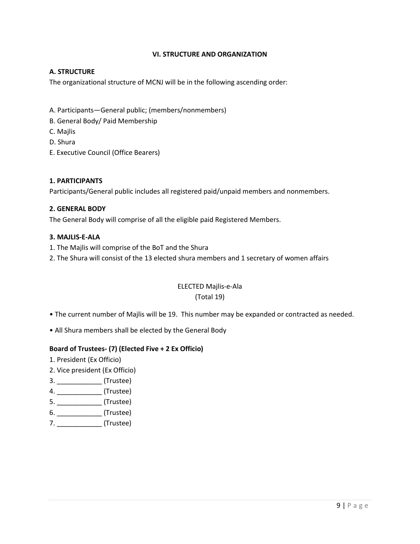# **VI. STRUCTURE AND ORGANIZATION**

# **A. STRUCTURE**

The organizational structure of MCNJ will be in the following ascending order:

- A. Participants—General public; (members/nonmembers)
- B. General Body/ Paid Membership
- C. Majlis
- D. Shura
- E. Executive Council (Office Bearers)

### **1. PARTICIPANTS**

Participants/General public includes all registered paid/unpaid members and nonmembers.

### **2. GENERAL BODY**

The General Body will comprise of all the eligible paid Registered Members.

### **3. MAJLIS-E-ALA**

- 1. The Majlis will comprise of the BoT and the Shura
- 2. The Shura will consist of the 13 elected shura members and 1 secretary of women affairs

# ELECTED Majlis-e-Ala (Total 19)

- The current number of Majlis will be 19. This number may be expanded or contracted as needed.
- All Shura members shall be elected by the General Body

# **Board of Trustees- (7) (Elected Five + 2 Ex Officio)**

- 1. President (Ex Officio)
- 2. Vice president (Ex Officio)
- 3. \_\_\_\_\_\_\_\_\_\_\_\_ (Trustee)
- 4. \_\_\_\_\_\_\_\_\_\_\_\_ (Trustee)
- 5. \_\_\_\_\_\_\_\_\_\_\_\_\_\_ (Trustee)
- 6. \_\_\_\_\_\_\_\_\_\_\_\_ (Trustee)
- 7. \_\_\_\_\_\_\_\_\_\_\_\_\_\_\_\_\_ (Trustee)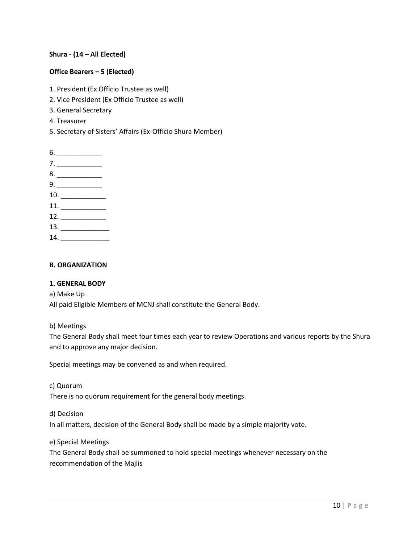# **Shura - (14 – All Elected)**

# **Office Bearers – 5 (Elected)**

- 1. President (Ex Officio Trustee as well)
- 2. Vice President (Ex Officio Trustee as well)
- 3. General Secretary
- 4. Treasurer
- 5. Secretary of Sisters' Affairs (Ex-Officio Shura Member)

| $6. \underline{\hspace{1.5cm}}$                                                                                                                                                                                                                                                                                                                              |  |
|--------------------------------------------------------------------------------------------------------------------------------------------------------------------------------------------------------------------------------------------------------------------------------------------------------------------------------------------------------------|--|
|                                                                                                                                                                                                                                                                                                                                                              |  |
| $8. \underline{\hspace{1.5cm}}$                                                                                                                                                                                                                                                                                                                              |  |
| $9. \underline{\hspace{1.5cm}}$                                                                                                                                                                                                                                                                                                                              |  |
| $10. \begin{tabular}{l} \hline \rule{0.2cm}{0.1cm} \rule{0.2cm}{0.1cm} \rule{0.2cm}{0.1cm} \rule{0.2cm}{0.1cm} \rule{0.2cm}{0.1cm} \rule{0.2cm}{0.1cm} \rule{0.2cm}{0.1cm} \rule{0.2cm}{0.1cm} \rule{0.2cm}{0.1cm} \rule{0.2cm}{0.1cm} \rule{0.2cm}{0.1cm} \rule{0.2cm}{0.1cm} \rule{0.2cm}{0.1cm} \rule{0.2cm}{0.1cm} \rule{0.2cm}{0.1cm} \rule{0.2cm}{0.1$ |  |
| 11.                                                                                                                                                                                                                                                                                                                                                          |  |
| 12.                                                                                                                                                                                                                                                                                                                                                          |  |
| 13.                                                                                                                                                                                                                                                                                                                                                          |  |
| 14.                                                                                                                                                                                                                                                                                                                                                          |  |

### **B. ORGANIZATION**

### **1. GENERAL BODY**

### a) Make Up

All paid Eligible Members of MCNJ shall constitute the General Body.

### b) Meetings

The General Body shall meet four times each year to review Operations and various reports by the Shura and to approve any major decision.

Special meetings may be convened as and when required.

### c) Quorum

There is no quorum requirement for the general body meetings.

d) Decision

In all matters, decision of the General Body shall be made by a simple majority vote.

#### e) Special Meetings

The General Body shall be summoned to hold special meetings whenever necessary on the recommendation of the Majlis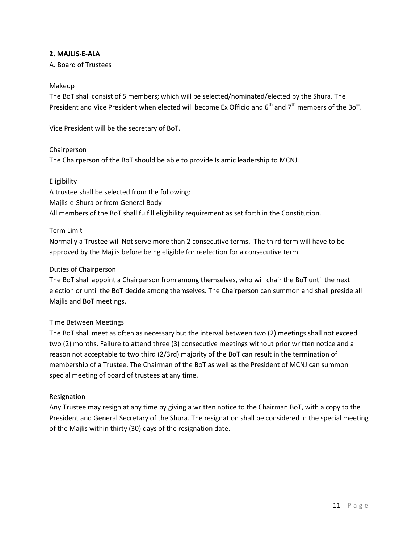# **2. MAJLIS-E-ALA**

A. Board of Trustees

### Makeup

The BoT shall consist of 5 members; which will be selected/nominated/elected by the Shura. The President and Vice President when elected will become Ex Officio and 6<sup>th</sup> and 7<sup>th</sup> members of the BoT.

Vice President will be the secretary of BoT.

### **Chairperson**

The Chairperson of the BoT should be able to provide Islamic leadership to MCNJ.

### **Eligibility**

A trustee shall be selected from the following: Majlis-e-Shura or from General Body All members of the BoT shall fulfill eligibility requirement as set forth in the Constitution.

### Term Limit

Normally a Trustee will Not serve more than 2 consecutive terms. The third term will have to be approved by the Majlis before being eligible for reelection for a consecutive term.

### Duties of Chairperson

The BoT shall appoint a Chairperson from among themselves, who will chair the BoT until the next election or until the BoT decide among themselves. The Chairperson can summon and shall preside all Majlis and BoT meetings.

### Time Between Meetings

The BoT shall meet as often as necessary but the interval between two (2) meetings shall not exceed two (2) months. Failure to attend three (3) consecutive meetings without prior written notice and a reason not acceptable to two third (2/3rd) majority of the BoT can result in the termination of membership of a Trustee. The Chairman of the BoT as well as the President of MCNJ can summon special meeting of board of trustees at any time.

### **Resignation**

Any Trustee may resign at any time by giving a written notice to the Chairman BoT, with a copy to the President and General Secretary of the Shura. The resignation shall be considered in the special meeting of the Majlis within thirty (30) days of the resignation date.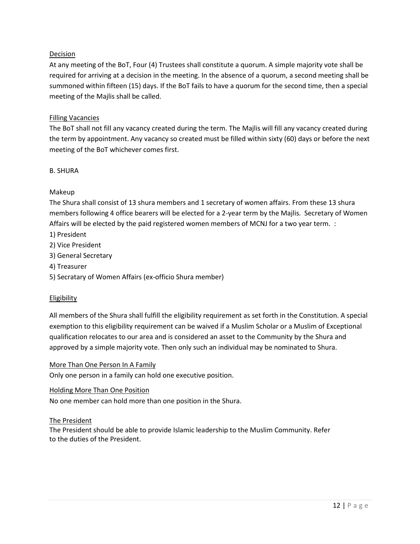# Decision

At any meeting of the BoT, Four (4) Trustees shall constitute a quorum. A simple majority vote shall be required for arriving at a decision in the meeting. In the absence of a quorum, a second meeting shall be summoned within fifteen (15) days. If the BoT fails to have a quorum for the second time, then a special meeting of the Majlis shall be called.

### Filling Vacancies

The BoT shall not fill any vacancy created during the term. The Majlis will fill any vacancy created during the term by appointment. Any vacancy so created must be filled within sixty (60) days or before the next meeting of the BoT whichever comes first.

### B. SHURA

# Makeup

The Shura shall consist of 13 shura members and 1 secretary of women affairs. From these 13 shura members following 4 office bearers will be elected for a 2-year term by the Majlis. Secretary of Women Affairs will be elected by the paid registered women members of MCNJ for a two year term. :

- 1) President
- 2) Vice President
- 3) General Secretary
- 4) Treasurer
- 5) Secratary of Women Affairs (ex-officio Shura member)

### **Eligibility**

All members of the Shura shall fulfill the eligibility requirement as set forth in the Constitution. A special exemption to this eligibility requirement can be waived if a Muslim Scholar or a Muslim of Exceptional qualification relocates to our area and is considered an asset to the Community by the Shura and approved by a simple majority vote. Then only such an individual may be nominated to Shura.

### More Than One Person In A Family

Only one person in a family can hold one executive position.

### Holding More Than One Position

No one member can hold more than one position in the Shura.

### The President

The President should be able to provide Islamic leadership to the Muslim Community. Refer to the duties of the President.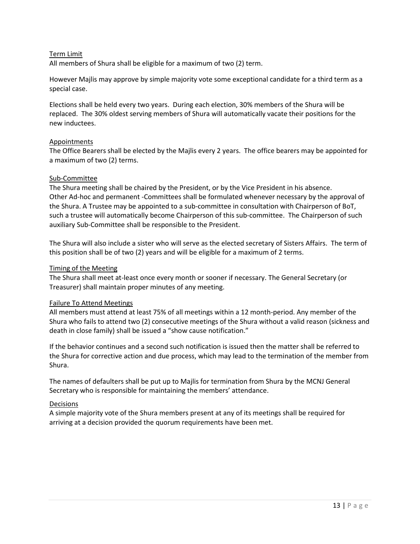### Term Limit

All members of Shura shall be eligible for a maximum of two (2) term.

However Majlis may approve by simple majority vote some exceptional candidate for a third term as a special case.

Elections shall be held every two years. During each election, 30% members of the Shura will be replaced. The 30% oldest serving members of Shura will automatically vacate their positions for the new inductees.

### Appointments

The Office Bearers shall be elected by the Majlis every 2 years. The office bearers may be appointed for a maximum of two (2) terms.

### Sub-Committee

The Shura meeting shall be chaired by the President, or by the Vice President in his absence. Other Ad-hoc and permanent -Committees shall be formulated whenever necessary by the approval of the Shura. A Trustee may be appointed to a sub-committee in consultation with Chairperson of BoT, such a trustee will automatically become Chairperson of this sub-committee. The Chairperson of such auxiliary Sub-Committee shall be responsible to the President.

The Shura will also include a sister who will serve as the elected secretary of Sisters Affairs. The term of this position shall be of two (2) years and will be eligible for a maximum of 2 terms.

### Timing of the Meeting

The Shura shall meet at-least once every month or sooner if necessary. The General Secretary (or Treasurer) shall maintain proper minutes of any meeting.

### Failure To Attend Meetings

All members must attend at least 75% of all meetings within a 12 month-period. Any member of the Shura who fails to attend two (2) consecutive meetings of the Shura without a valid reason (sickness and death in close family) shall be issued a "show cause notification."

If the behavior continues and a second such notification is issued then the matter shall be referred to the Shura for corrective action and due process, which may lead to the termination of the member from Shura.

The names of defaulters shall be put up to Majlis for termination from Shura by the MCNJ General Secretary who is responsible for maintaining the members' attendance.

### Decisions

A simple majority vote of the Shura members present at any of its meetings shall be required for arriving at a decision provided the quorum requirements have been met.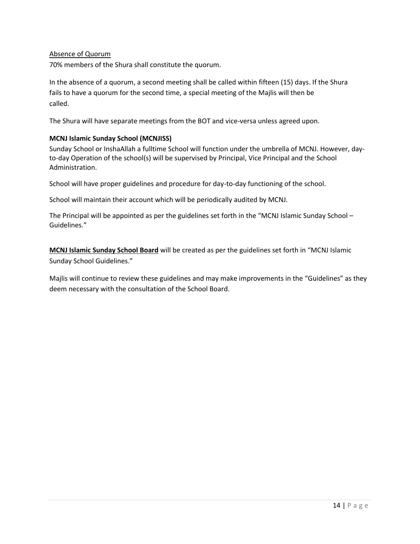### Absence of Quorum

70% members of the Shura shall constitute the quorum.

In the absence of a quorum, a second meeting shall be called within fifteen (15) days. If the Shura fails to have a quorum for the second time, a special meeting of the Majlis will then be called.

The Shura will have separate meetings from the BOT and vice-versa unless agreed upon.

# **MCNJ Islamic Sunday School (MCNJISS)**

Sunday School or InshaAllah a fulltime School will function under the umbrella of MCNJ. However, dayto-day Operation of the school(s) will be supervised by Principal, Vice Principal and the School Administration.

School will have proper guidelines and procedure for day-to-day functioning of the school.

School will maintain their account which will be periodically audited by MCNJ.

The Principal will be appointed as per the guidelines set forth in the "MCNJ Islamic Sunday School – Guidelines."

**MCNJ Islamic Sunday School Board** will be created as per the guidelines set forth in "MCNJ Islamic Sunday School Guidelines."

Majlis will continue to review these guidelines and may make improvements in the "Guidelines" as they deem necessary with the consultation of the School Board.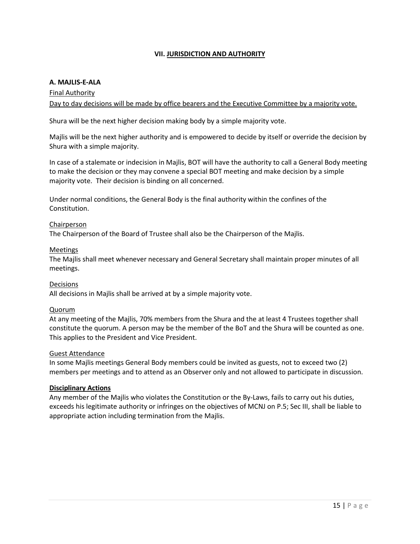# **VII. JURISDICTION AND AUTHORITY**

### **A. MAJLIS-E-ALA**

### Final Authority

Day to day decisions will be made by office bearers and the Executive Committee by a majority vote.

Shura will be the next higher decision making body by a simple majority vote.

Majlis will be the next higher authority and is empowered to decide by itself or override the decision by Shura with a simple majority.

In case of a stalemate or indecision in Majlis, BOT will have the authority to call a General Body meeting to make the decision or they may convene a special BOT meeting and make decision by a simple majority vote. Their decision is binding on all concerned.

Under normal conditions, the General Body is the final authority within the confines of the Constitution.

### Chairperson

The Chairperson of the Board of Trustee shall also be the Chairperson of the Majlis.

### Meetings

The Majlis shall meet whenever necessary and General Secretary shall maintain proper minutes of all meetings.

#### Decisions

All decisions in Majlis shall be arrived at by a simple majority vote.

#### Quorum

At any meeting of the Majlis, 70% members from the Shura and the at least 4 Trustees together shall constitute the quorum. A person may be the member of the BoT and the Shura will be counted as one. This applies to the President and Vice President.

#### Guest Attendance

In some Majlis meetings General Body members could be invited as guests, not to exceed two (2) members per meetings and to attend as an Observer only and not allowed to participate in discussion.

#### **Disciplinary Actions**

Any member of the Majlis who violates the Constitution or the By-Laws, fails to carry out his duties, exceeds his legitimate authority or infringes on the objectives of MCNJ on P.5; Sec III, shall be liable to appropriate action including termination from the Majlis.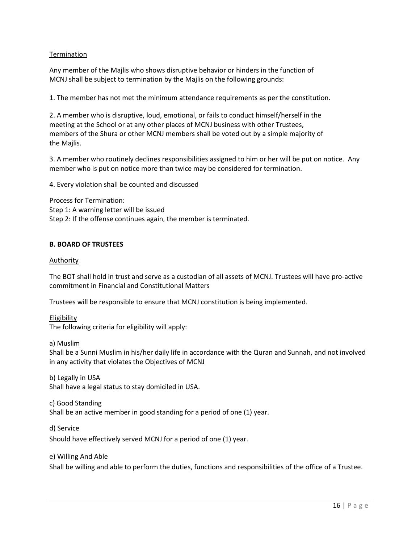# Termination

Any member of the Majlis who shows disruptive behavior or hinders in the function of MCNJ shall be subject to termination by the Majlis on the following grounds:

1. The member has not met the minimum attendance requirements as per the constitution.

2. A member who is disruptive, loud, emotional, or fails to conduct himself/herself in the meeting at the School or at any other places of MCNJ business with other Trustees, members of the Shura or other MCNJ members shall be voted out by a simple majority of the Majlis.

3. A member who routinely declines responsibilities assigned to him or her will be put on notice. Any member who is put on notice more than twice may be considered for termination.

4. Every violation shall be counted and discussed

Process for Termination: Step 1: A warning letter will be issued Step 2: If the offense continues again, the member is terminated.

### **B. BOARD OF TRUSTEES**

### Authority

The BOT shall hold in trust and serve as a custodian of all assets of MCNJ. Trustees will have pro-active commitment in Financial and Constitutional Matters

Trustees will be responsible to ensure that MCNJ constitution is being implemented.

Eligibility The following criteria for eligibility will apply:

a) Muslim

Shall be a Sunni Muslim in his/her daily life in accordance with the Quran and Sunnah, and not involved in any activity that violates the Objectives of MCNJ

b) Legally in USA Shall have a legal status to stay domiciled in USA.

c) Good Standing Shall be an active member in good standing for a period of one (1) year.

d) Service

Should have effectively served MCNJ for a period of one (1) year.

#### e) Willing And Able

Shall be willing and able to perform the duties, functions and responsibilities of the office of a Trustee.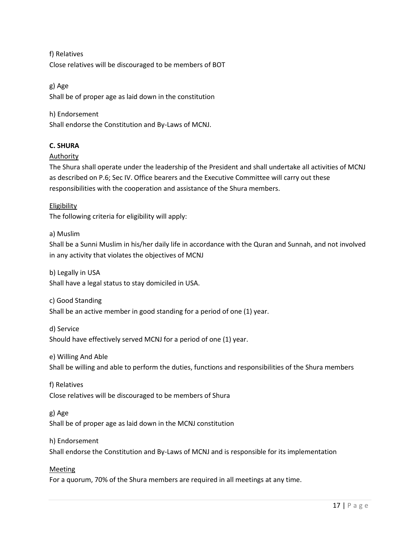f) Relatives Close relatives will be discouraged to be members of BOT

g) Age Shall be of proper age as laid down in the constitution

# h) Endorsement

Shall endorse the Constitution and By-Laws of MCNJ.

# **C. SHURA**

# Authority

The Shura shall operate under the leadership of the President and shall undertake all activities of MCNJ as described on P.6; Sec IV. Office bearers and the Executive Committee will carry out these responsibilities with the cooperation and assistance of the Shura members.

Eligibility The following criteria for eligibility will apply:

# a) Muslim

Shall be a Sunni Muslim in his/her daily life in accordance with the Quran and Sunnah, and not involved in any activity that violates the objectives of MCNJ

b) Legally in USA Shall have a legal status to stay domiciled in USA.

c) Good Standing Shall be an active member in good standing for a period of one (1) year.

d) Service Should have effectively served MCNJ for a period of one (1) year.

e) Willing And Able Shall be willing and able to perform the duties, functions and responsibilities of the Shura members

f) Relatives Close relatives will be discouraged to be members of Shura

g) Age Shall be of proper age as laid down in the MCNJ constitution

# h) Endorsement

Shall endorse the Constitution and By-Laws of MCNJ and is responsible for its implementation

Meeting

For a quorum, 70% of the Shura members are required in all meetings at any time.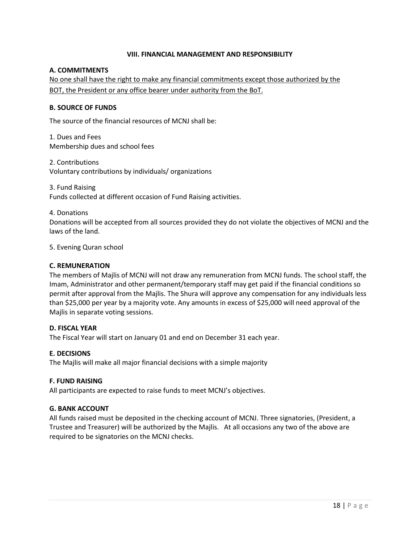### **VIII. FINANCIAL MANAGEMENT AND RESPONSIBILITY**

### **A. COMMITMENTS**

No one shall have the right to make any financial commitments except those authorized by the BOT, the President or any office bearer under authority from the BoT.

### **B. SOURCE OF FUNDS**

The source of the financial resources of MCNJ shall be:

1. Dues and Fees Membership dues and school fees

2. Contributions Voluntary contributions by individuals/ organizations

3. Fund Raising Funds collected at different occasion of Fund Raising activities.

### 4. Donations

Donations will be accepted from all sources provided they do not violate the objectives of MCNJ and the laws of the land.

5. Evening Quran school

### **C. REMUNERATION**

The members of Majlis of MCNJ will not draw any remuneration from MCNJ funds. The school staff, the Imam, Administrator and other permanent/temporary staff may get paid if the financial conditions so permit after approval from the Majlis. The Shura will approve any compensation for any individuals less than \$25,000 per year by a majority vote. Any amounts in excess of \$25,000 will need approval of the Majlis in separate voting sessions.

### **D. FISCAL YEAR**

The Fiscal Year will start on January 01 and end on December 31 each year.

### **E. DECISIONS**

The Majlis will make all major financial decisions with a simple majority

### **F. FUND RAISING**

All participants are expected to raise funds to meet MCNJ's objectives.

### **G. BANK ACCOUNT**

All funds raised must be deposited in the checking account of MCNJ. Three signatories, (President, a Trustee and Treasurer) will be authorized by the Majlis. At all occasions any two of the above are required to be signatories on the MCNJ checks.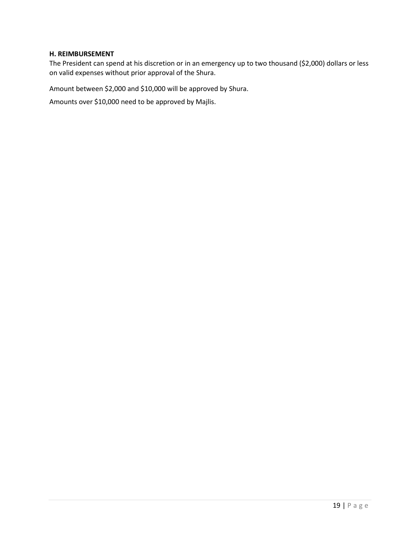### **H. REIMBURSEMENT**

The President can spend at his discretion or in an emergency up to two thousand (\$2,000) dollars or less on valid expenses without prior approval of the Shura.

Amount between \$2,000 and \$10,000 will be approved by Shura.

Amounts over \$10,000 need to be approved by Majlis.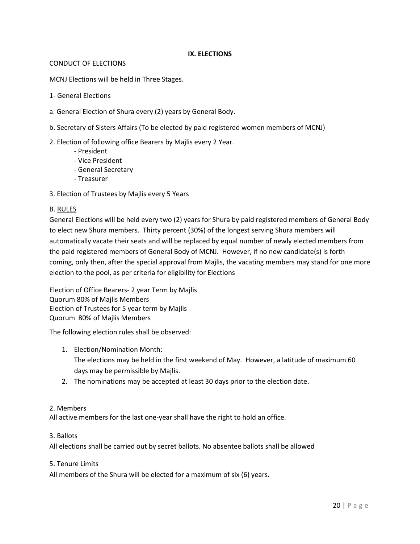# **IX. ELECTIONS**

### CONDUCT OF ELECTIONS

MCNJ Elections will be held in Three Stages.

- 1- General Elections
- a. General Election of Shura every (2) years by General Body.
- b. Secretary of Sisters Affairs (To be elected by paid registered women members of MCNJ)

# 2. Election of following office Bearers by Majlis every 2 Year.

- President
- Vice President
- General Secretary
- Treasurer
- 3. Election of Trustees by Majlis every 5 Years

### B. RULES

General Elections will be held every two (2) years for Shura by paid registered members of General Body to elect new Shura members. Thirty percent (30%) of the longest serving Shura members will automatically vacate their seats and will be replaced by equal number of newly elected members from the paid registered members of General Body of MCNJ. However, if no new candidate(s) is forth coming, only then, after the special approval from Majlis, the vacating members may stand for one more election to the pool, as per criteria for eligibility for Elections

Election of Office Bearers- 2 year Term by Majlis Quorum 80% of Majlis Members Election of Trustees for 5 year term by Majlis Quorum 80% of Majlis Members

The following election rules shall be observed:

- 1. Election/Nomination Month: The elections may be held in the first weekend of May. However, a latitude of maximum 60 days may be permissible by Majlis.
- 2. The nominations may be accepted at least 30 days prior to the election date.

### 2. Members

All active members for the last one-year shall have the right to hold an office.

### 3. Ballots

All elections shall be carried out by secret ballots. No absentee ballots shall be allowed

### 5. Tenure Limits

All members of the Shura will be elected for a maximum of six (6) years.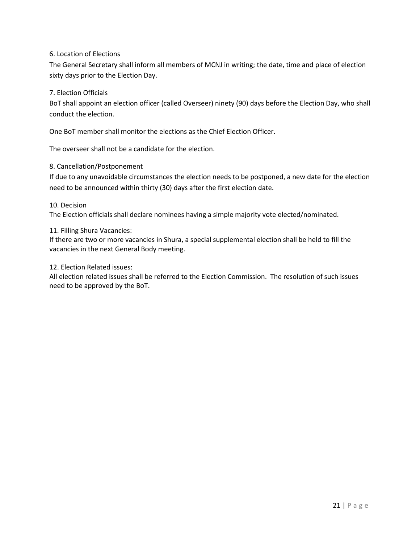# 6. Location of Elections

The General Secretary shall inform all members of MCNJ in writing; the date, time and place of election sixty days prior to the Election Day.

# 7. Election Officials

BoT shall appoint an election officer (called Overseer) ninety (90) days before the Election Day, who shall conduct the election.

One BoT member shall monitor the elections as the Chief Election Officer.

The overseer shall not be a candidate for the election.

# 8. Cancellation/Postponement

If due to any unavoidable circumstances the election needs to be postponed, a new date for the election need to be announced within thirty (30) days after the first election date.

10. Decision

The Election officials shall declare nominees having a simple majority vote elected/nominated.

### 11. Filling Shura Vacancies:

If there are two or more vacancies in Shura, a special supplemental election shall be held to fill the vacancies in the next General Body meeting.

### 12. Election Related issues:

All election related issues shall be referred to the Election Commission. The resolution of such issues need to be approved by the BoT.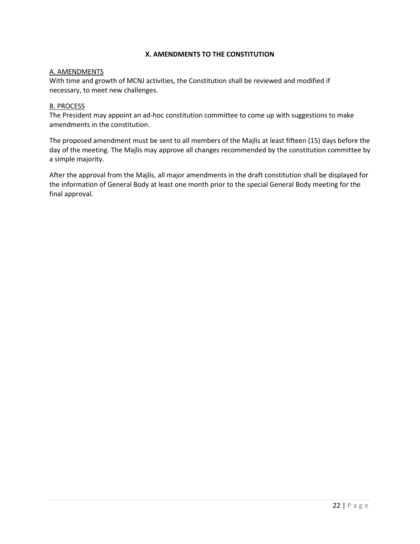# **X. AMENDMENTS TO THE CONSTITUTION**

### A. AMENDMENTS

With time and growth of MCNJ activities, the Constitution shall be reviewed and modified if necessary, to meet new challenges.

#### B. PROCESS

The President may appoint an ad-hoc constitution committee to come up with suggestions to make amendments in the constitution.

The proposed amendment must be sent to all members of the Majlis at least fifteen (15) days before the day of the meeting. The Majlis may approve all changes recommended by the constitution committee by a simple majority.

After the approval from the Majlis, all major amendments in the draft constitution shall be displayed for the information of General Body at least one month prior to the special General Body meeting for the final approval.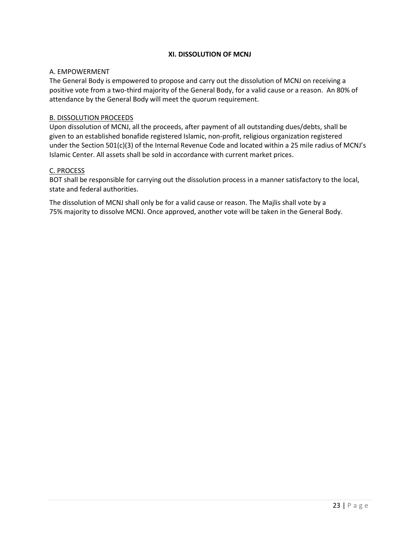# **XI. DISSOLUTION OF MCNJ**

### A. EMPOWERMENT

The General Body is empowered to propose and carry out the dissolution of MCNJ on receiving a positive vote from a two-third majority of the General Body, for a valid cause or a reason. An 80% of attendance by the General Body will meet the quorum requirement.

### B. DISSOLUTION PROCEEDS

Upon dissolution of MCNJ, all the proceeds, after payment of all outstanding dues/debts, shall be given to an established bonafide registered Islamic, non-profit, religious organization registered under the Section 501(c)(3) of the Internal Revenue Code and located within a 25 mile radius of MCNJ's Islamic Center. All assets shall be sold in accordance with current market prices.

### C. PROCESS

BOT shall be responsible for carrying out the dissolution process in a manner satisfactory to the local, state and federal authorities.

The dissolution of MCNJ shall only be for a valid cause or reason. The Majlis shall vote by a 75% majority to dissolve MCNJ. Once approved, another vote will be taken in the General Body.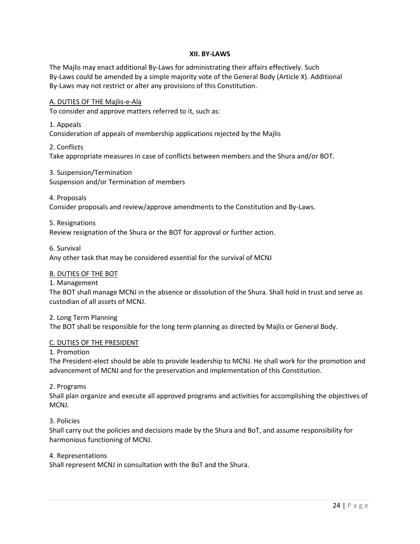### **XII. BY-LAWS**

The Majlis may enact additional By-Laws for administrating their affairs effectively. Such By-Laws could be amended by a simple majority vote of the General Body (Article X). Additional By-Laws may not restrict or alter any provisions of this Constitution.

### A. DUTIES OF THE Majlis-e-Ala

To consider and approve matters referred to it, such as:

#### 1. Appeals

Consideration of appeals of membership applications rejected by the Majlis

#### 2. Conflicts

Take appropriate measures in case of conflicts between members and the Shura and/or BOT.

### 3. Suspension/Termination

Suspension and/or Termination of members

#### 4. Proposals

Consider proposals and review/approve amendments to the Constitution and By-Laws.

### 5. Resignations

Review resignation of the Shura or the BOT for approval or further action.

#### 6. Survival

Any other task that may be considered essential for the survival of MCNJ

#### B. DUTIES OF THE BOT

1. Management

The BOT shall manage MCNJ in the absence or dissolution of the Shura. Shall hold in trust and serve as custodian of all assets of MCNJ.

#### 2. Long Term Planning

The BOT shall be responsible for the long term planning as directed by Majlis or General Body.

#### C. DUTIES OF THE PRESIDENT

### 1. Promotion

The President-elect should be able to provide leadership to MCNJ. He shall work for the promotion and advancement of MCNJ and for the preservation and implementation of this Constitution.

### 2. Programs

Shall plan organize and execute all approved programs and activities for accomplishing the objectives of MCNJ.

### 3. Policies

Shall carry out the policies and decisions made by the Shura and BoT, and assume responsibility for harmonious functioning of MCNJ.

#### 4. Representations

Shall represent MCNJ in consultation with the BoT and the Shura.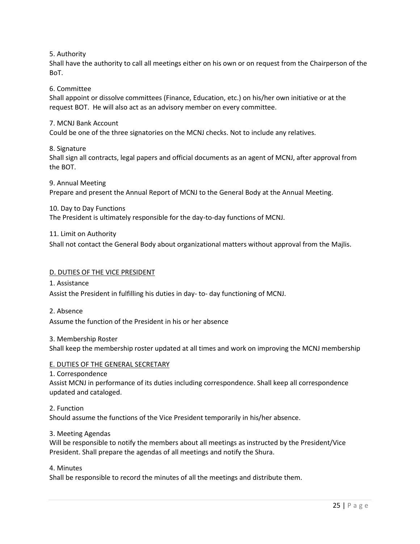5. Authority

Shall have the authority to call all meetings either on his own or on request from the Chairperson of the BoT.

6. Committee

Shall appoint or dissolve committees (Finance, Education, etc.) on his/her own initiative or at the request BOT. He will also act as an advisory member on every committee.

7. MCNJ Bank Account

Could be one of the three signatories on the MCNJ checks. Not to include any relatives.

8. Signature

Shall sign all contracts, legal papers and official documents as an agent of MCNJ, after approval from the BOT.

9. Annual Meeting

Prepare and present the Annual Report of MCNJ to the General Body at the Annual Meeting.

10. Day to Day Functions

The President is ultimately responsible for the day-to-day functions of MCNJ.

11. Limit on Authority

Shall not contact the General Body about organizational matters without approval from the Majlis.

#### D. DUTIES OF THE VICE PRESIDENT

1. Assistance

Assist the President in fulfilling his duties in day- to- day functioning of MCNJ.

2. Absence

Assume the function of the President in his or her absence

3. Membership Roster

Shall keep the membership roster updated at all times and work on improving the MCNJ membership

#### E. DUTIES OF THE GENERAL SECRETARY

1. Correspondence Assist MCNJ in performance of its duties including correspondence. Shall keep all correspondence updated and cataloged.

2. Function

Should assume the functions of the Vice President temporarily in his/her absence.

3. Meeting Agendas

Will be responsible to notify the members about all meetings as instructed by the President/Vice President. Shall prepare the agendas of all meetings and notify the Shura.

4. Minutes

Shall be responsible to record the minutes of all the meetings and distribute them.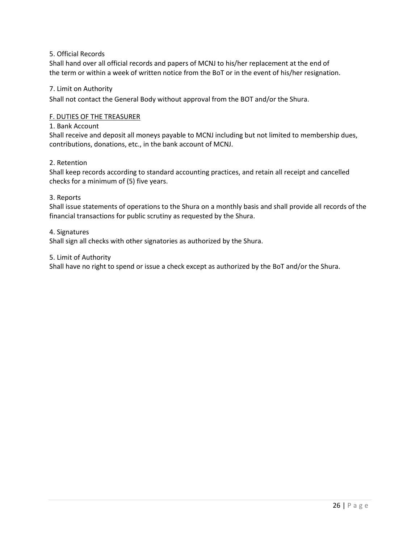### 5. Official Records

Shall hand over all official records and papers of MCNJ to his/her replacement at the end of the term or within a week of written notice from the BoT or in the event of his/her resignation.

### 7. Limit on Authority

Shall not contact the General Body without approval from the BOT and/or the Shura.

### F. DUTIES OF THE TREASURER

#### 1. Bank Account

Shall receive and deposit all moneys payable to MCNJ including but not limited to membership dues, contributions, donations, etc., in the bank account of MCNJ.

### 2. Retention

Shall keep records according to standard accounting practices, and retain all receipt and cancelled checks for a minimum of (5) five years.

### 3. Reports

Shall issue statements of operations to the Shura on a monthly basis and shall provide all records of the financial transactions for public scrutiny as requested by the Shura.

### 4. Signatures

Shall sign all checks with other signatories as authorized by the Shura.

### 5. Limit of Authority

Shall have no right to spend or issue a check except as authorized by the BoT and/or the Shura.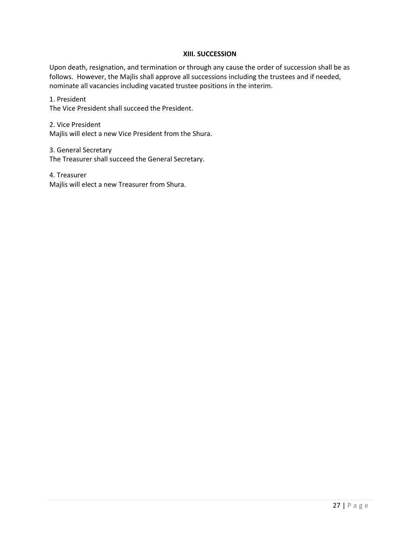### **XIII. SUCCESSION**

Upon death, resignation, and termination or through any cause the order of succession shall be as follows. However, the Majlis shall approve all successions including the trustees and if needed, nominate all vacancies including vacated trustee positions in the interim.

1. President The Vice President shall succeed the President.

2. Vice President Majlis will elect a new Vice President from the Shura.

3. General Secretary The Treasurer shall succeed the General Secretary.

4. Treasurer Majlis will elect a new Treasurer from Shura.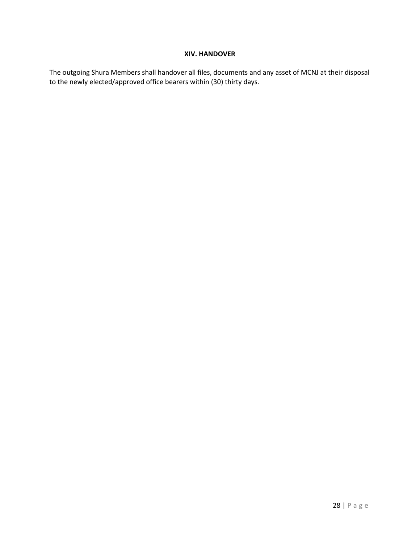# **XIV. HANDOVER**

The outgoing Shura Members shall handover all files, documents and any asset of MCNJ at their disposal to the newly elected/approved office bearers within (30) thirty days.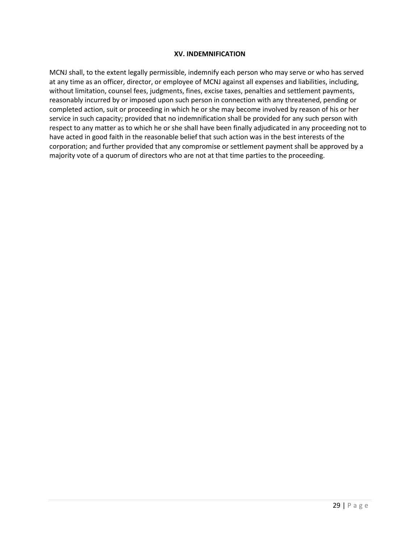### **XV. INDEMNIFICATION**

MCNJ shall, to the extent legally permissible, indemnify each person who may serve or who has served at any time as an officer, director, or employee of MCNJ against all expenses and liabilities, including, without limitation, counsel fees, judgments, fines, excise taxes, penalties and settlement payments, reasonably incurred by or imposed upon such person in connection with any threatened, pending or completed action, suit or proceeding in which he or she may become involved by reason of his or her service in such capacity; provided that no indemnification shall be provided for any such person with respect to any matter as to which he or she shall have been finally adjudicated in any proceeding not to have acted in good faith in the reasonable belief that such action was in the best interests of the corporation; and further provided that any compromise or settlement payment shall be approved by a majority vote of a quorum of directors who are not at that time parties to the proceeding.